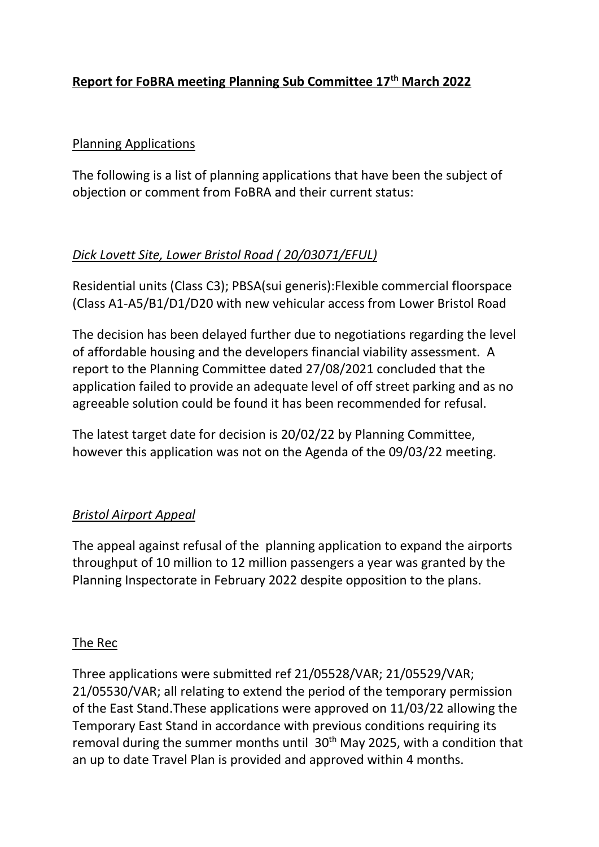# **Report for FoBRA meeting Planning Sub Committee 17th March 2022**

#### Planning Applications

The following is a list of planning applications that have been the subject of objection or comment from FoBRA and their current status:

## *Dick Lovett Site, Lower Bristol Road ( 20/03071/EFUL)*

Residential units (Class C3); PBSA(sui generis):Flexible commercial floorspace (Class A1-A5/B1/D1/D20 with new vehicular access from Lower Bristol Road

The decision has been delayed further due to negotiations regarding the level of affordable housing and the developers financial viability assessment. A report to the Planning Committee dated 27/08/2021 concluded that the application failed to provide an adequate level of off street parking and as no agreeable solution could be found it has been recommended for refusal.

The latest target date for decision is 20/02/22 by Planning Committee, however this application was not on the Agenda of the 09/03/22 meeting.

### *Bristol Airport Appeal*

The appeal against refusal of the planning application to expand the airports throughput of 10 million to 12 million passengers a year was granted by the Planning Inspectorate in February 2022 despite opposition to the plans.

### The Rec

Three applications were submitted ref 21/05528/VAR; 21/05529/VAR; 21/05530/VAR; all relating to extend the period of the temporary permission of the East Stand.These applications were approved on 11/03/22 allowing the Temporary East Stand in accordance with previous conditions requiring its removal during the summer months until 30<sup>th</sup> May 2025, with a condition that an up to date Travel Plan is provided and approved within 4 months.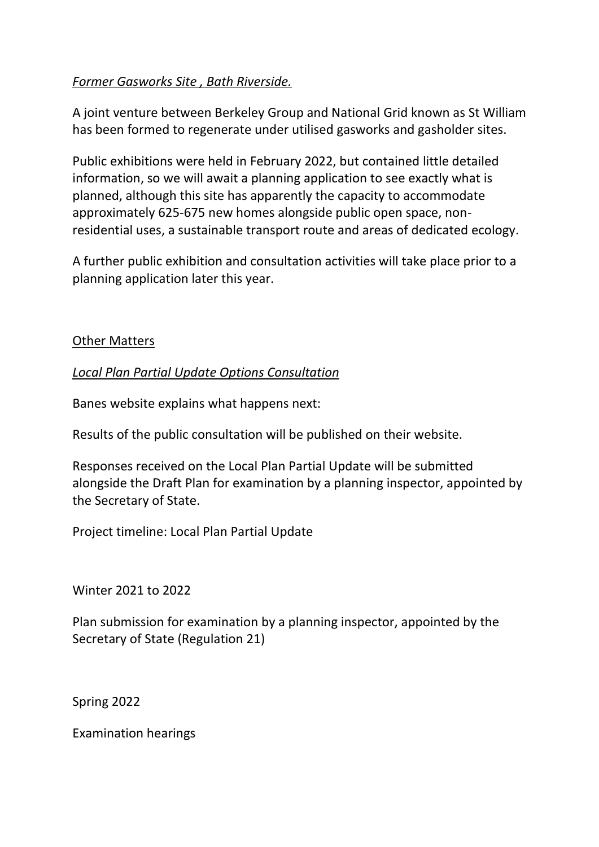### *Former Gasworks Site , Bath Riverside.*

A joint venture between Berkeley Group and National Grid known as St William has been formed to regenerate under utilised gasworks and gasholder sites.

Public exhibitions were held in February 2022, but contained little detailed information, so we will await a planning application to see exactly what is planned, although this site has apparently the capacity to accommodate approximately 625-675 new homes alongside public open space, nonresidential uses, a sustainable transport route and areas of dedicated ecology.

A further public exhibition and consultation activities will take place prior to a planning application later this year.

#### **Other Matters**

#### *Local Plan Partial Update Options Consultation*

Banes website explains what happens next:

Results of the public consultation will be published on their website.

Responses received on the Local Plan Partial Update will be submitted alongside the Draft Plan for examination by a planning inspector, appointed by the Secretary of State.

Project timeline: Local Plan Partial Update

Winter 2021 to 2022

Plan submission for examination by a planning inspector, appointed by the Secretary of State (Regulation 21)

Spring 2022

Examination hearings